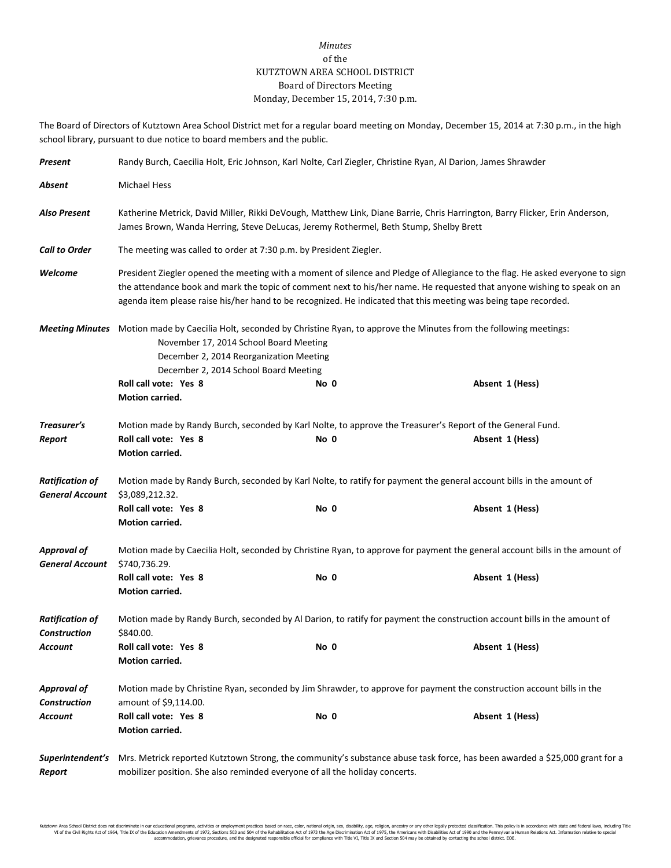## *Minutes* of the KUTZTOWN AREA SCHOOL DISTRICT Board of Directors Meeting Monday, December 15, 2014, 7:30 p.m.

The Board of Directors of Kutztown Area School District met for a regular board meeting on Monday, December 15, 2014 at 7:30 p.m., in the high school library, pursuant to due notice to board members and the public.

| Present                                          | Randy Burch, Caecilia Holt, Eric Johnson, Karl Nolte, Carl Ziegler, Christine Ryan, Al Darion, James Shrawder                                                                                                                                                                                                                                                               |                                                                                                                                       |                 |  |  |  |  |
|--------------------------------------------------|-----------------------------------------------------------------------------------------------------------------------------------------------------------------------------------------------------------------------------------------------------------------------------------------------------------------------------------------------------------------------------|---------------------------------------------------------------------------------------------------------------------------------------|-----------------|--|--|--|--|
| Absent                                           | <b>Michael Hess</b>                                                                                                                                                                                                                                                                                                                                                         |                                                                                                                                       |                 |  |  |  |  |
| Also Present                                     | Katherine Metrick, David Miller, Rikki DeVough, Matthew Link, Diane Barrie, Chris Harrington, Barry Flicker, Erin Anderson,<br>James Brown, Wanda Herring, Steve DeLucas, Jeremy Rothermel, Beth Stump, Shelby Brett                                                                                                                                                        |                                                                                                                                       |                 |  |  |  |  |
| <b>Call to Order</b>                             | The meeting was called to order at 7:30 p.m. by President Ziegler.                                                                                                                                                                                                                                                                                                          |                                                                                                                                       |                 |  |  |  |  |
| Welcome                                          | President Ziegler opened the meeting with a moment of silence and Pledge of Allegiance to the flag. He asked everyone to sign<br>the attendance book and mark the topic of comment next to his/her name. He requested that anyone wishing to speak on an<br>agenda item please raise his/her hand to be recognized. He indicated that this meeting was being tape recorded. |                                                                                                                                       |                 |  |  |  |  |
|                                                  | November 17, 2014 School Board Meeting<br>December 2, 2014 Reorganization Meeting<br>December 2, 2014 School Board Meeting<br>Roll call vote: Yes 8<br>Motion carried.                                                                                                                                                                                                      | Meeting Minutes Motion made by Caecilia Holt, seconded by Christine Ryan, to approve the Minutes from the following meetings:<br>No 0 | Absent 1 (Hess) |  |  |  |  |
| Treasurer's<br>Report                            | Roll call vote: Yes 8<br>Motion carried.                                                                                                                                                                                                                                                                                                                                    | Motion made by Randy Burch, seconded by Karl Nolte, to approve the Treasurer's Report of the General Fund.<br>No 0                    | Absent 1 (Hess) |  |  |  |  |
| <b>Ratification of</b><br><b>General Account</b> | Motion made by Randy Burch, seconded by Karl Nolte, to ratify for payment the general account bills in the amount of<br>\$3,089,212.32.                                                                                                                                                                                                                                     |                                                                                                                                       |                 |  |  |  |  |
|                                                  | Roll call vote: Yes 8<br>Motion carried.                                                                                                                                                                                                                                                                                                                                    | No 0                                                                                                                                  | Absent 1 (Hess) |  |  |  |  |
| <b>Approval of</b><br><b>General Account</b>     | Motion made by Caecilia Holt, seconded by Christine Ryan, to approve for payment the general account bills in the amount of<br>\$740,736.29.                                                                                                                                                                                                                                |                                                                                                                                       |                 |  |  |  |  |
|                                                  | Roll call vote: Yes 8<br>Motion carried.                                                                                                                                                                                                                                                                                                                                    | No 0                                                                                                                                  | Absent 1 (Hess) |  |  |  |  |
| <b>Ratification of</b><br><b>Construction</b>    | Motion made by Randy Burch, seconded by Al Darion, to ratify for payment the construction account bills in the amount of<br>\$840.00.                                                                                                                                                                                                                                       |                                                                                                                                       |                 |  |  |  |  |
| Account                                          | Roll call vote: Yes 8<br>Motion carried.                                                                                                                                                                                                                                                                                                                                    | No 0                                                                                                                                  | Absent 1 (Hess) |  |  |  |  |
| <b>Approval of</b><br><b>Construction</b>        | Motion made by Christine Ryan, seconded by Jim Shrawder, to approve for payment the construction account bills in the<br>amount of \$9,114.00.                                                                                                                                                                                                                              |                                                                                                                                       |                 |  |  |  |  |
| Account                                          | Roll call vote: Yes 8<br>Motion carried.                                                                                                                                                                                                                                                                                                                                    | No 0                                                                                                                                  | Absent 1 (Hess) |  |  |  |  |
| Superintendent's<br>Report                       | Mrs. Metrick reported Kutztown Strong, the community's substance abuse task force, has been awarded a \$25,000 grant for a<br>mobilizer position. She also reminded everyone of all the holiday concerts.                                                                                                                                                                   |                                                                                                                                       |                 |  |  |  |  |

Kutztown Area School District does not discriminate in our educational programs, activities or employment practices based on race, color, national origin, sex, disability, age, religion, ancestry or any other legally prot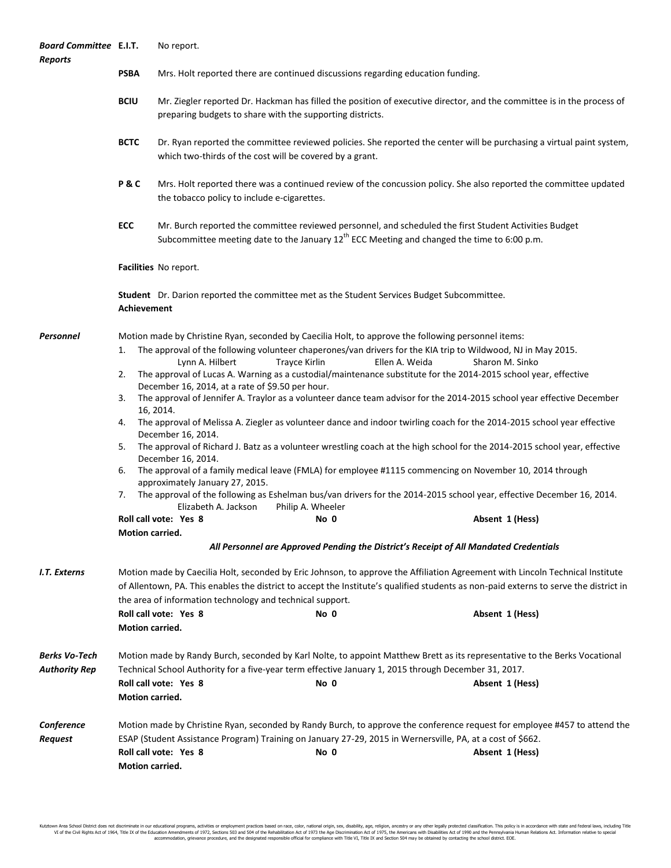| <b>Board Committee E.I.T.</b><br><b>Reports</b> |                                                                                                                                                                                                                                                                                                                                                                                         | No report.                                                                                                                                                                                                                                                                                                                                                                                                                                                                                                                                                                                                                                                                                                                                                                                                                                                                                                                                                                                                                                                                                                                                                                                                                                                                                                                                                                                                  |                                                          |                                                                                                                                                                                                                                                            |  |  |  |
|-------------------------------------------------|-----------------------------------------------------------------------------------------------------------------------------------------------------------------------------------------------------------------------------------------------------------------------------------------------------------------------------------------------------------------------------------------|-------------------------------------------------------------------------------------------------------------------------------------------------------------------------------------------------------------------------------------------------------------------------------------------------------------------------------------------------------------------------------------------------------------------------------------------------------------------------------------------------------------------------------------------------------------------------------------------------------------------------------------------------------------------------------------------------------------------------------------------------------------------------------------------------------------------------------------------------------------------------------------------------------------------------------------------------------------------------------------------------------------------------------------------------------------------------------------------------------------------------------------------------------------------------------------------------------------------------------------------------------------------------------------------------------------------------------------------------------------------------------------------------------------|----------------------------------------------------------|------------------------------------------------------------------------------------------------------------------------------------------------------------------------------------------------------------------------------------------------------------|--|--|--|
|                                                 | <b>PSBA</b>                                                                                                                                                                                                                                                                                                                                                                             | Mrs. Holt reported there are continued discussions regarding education funding.                                                                                                                                                                                                                                                                                                                                                                                                                                                                                                                                                                                                                                                                                                                                                                                                                                                                                                                                                                                                                                                                                                                                                                                                                                                                                                                             |                                                          |                                                                                                                                                                                                                                                            |  |  |  |
|                                                 | <b>BCIU</b>                                                                                                                                                                                                                                                                                                                                                                             | Mr. Ziegler reported Dr. Hackman has filled the position of executive director, and the committee is in the process of<br>preparing budgets to share with the supporting districts.                                                                                                                                                                                                                                                                                                                                                                                                                                                                                                                                                                                                                                                                                                                                                                                                                                                                                                                                                                                                                                                                                                                                                                                                                         |                                                          |                                                                                                                                                                                                                                                            |  |  |  |
|                                                 | <b>BCTC</b>                                                                                                                                                                                                                                                                                                                                                                             |                                                                                                                                                                                                                                                                                                                                                                                                                                                                                                                                                                                                                                                                                                                                                                                                                                                                                                                                                                                                                                                                                                                                                                                                                                                                                                                                                                                                             | which two-thirds of the cost will be covered by a grant. | Dr. Ryan reported the committee reviewed policies. She reported the center will be purchasing a virtual paint system,                                                                                                                                      |  |  |  |
|                                                 | P&C                                                                                                                                                                                                                                                                                                                                                                                     | the tobacco policy to include e-cigarettes.                                                                                                                                                                                                                                                                                                                                                                                                                                                                                                                                                                                                                                                                                                                                                                                                                                                                                                                                                                                                                                                                                                                                                                                                                                                                                                                                                                 |                                                          | Mrs. Holt reported there was a continued review of the concussion policy. She also reported the committee updated                                                                                                                                          |  |  |  |
|                                                 | ECC                                                                                                                                                                                                                                                                                                                                                                                     |                                                                                                                                                                                                                                                                                                                                                                                                                                                                                                                                                                                                                                                                                                                                                                                                                                                                                                                                                                                                                                                                                                                                                                                                                                                                                                                                                                                                             |                                                          | Mr. Burch reported the committee reviewed personnel, and scheduled the first Student Activities Budget<br>Subcommittee meeting date to the January $12^{th}$ ECC Meeting and changed the time to 6:00 p.m.                                                 |  |  |  |
|                                                 | Facilities No report.                                                                                                                                                                                                                                                                                                                                                                   |                                                                                                                                                                                                                                                                                                                                                                                                                                                                                                                                                                                                                                                                                                                                                                                                                                                                                                                                                                                                                                                                                                                                                                                                                                                                                                                                                                                                             |                                                          |                                                                                                                                                                                                                                                            |  |  |  |
|                                                 | <b>Student</b> Dr. Darion reported the committee met as the Student Services Budget Subcommittee.<br><b>Achievement</b>                                                                                                                                                                                                                                                                 |                                                                                                                                                                                                                                                                                                                                                                                                                                                                                                                                                                                                                                                                                                                                                                                                                                                                                                                                                                                                                                                                                                                                                                                                                                                                                                                                                                                                             |                                                          |                                                                                                                                                                                                                                                            |  |  |  |
| <b>Personnel</b>                                | 1.<br>2.<br>3.<br>4.<br>5.<br>6.<br>7.                                                                                                                                                                                                                                                                                                                                                  | Motion made by Christine Ryan, seconded by Caecilia Holt, to approve the following personnel items:<br>The approval of the following volunteer chaperones/van drivers for the KIA trip to Wildwood, NJ in May 2015.<br>Lynn A. Hilbert<br><b>Trayce Kirlin</b><br>Ellen A. Weida<br>Sharon M. Sinko<br>The approval of Lucas A. Warning as a custodial/maintenance substitute for the 2014-2015 school year, effective<br>December 16, 2014, at a rate of \$9.50 per hour.<br>The approval of Jennifer A. Traylor as a volunteer dance team advisor for the 2014-2015 school year effective December<br>16, 2014.<br>The approval of Melissa A. Ziegler as volunteer dance and indoor twirling coach for the 2014-2015 school year effective<br>December 16, 2014.<br>The approval of Richard J. Batz as a volunteer wrestling coach at the high school for the 2014-2015 school year, effective<br>December 16, 2014.<br>The approval of a family medical leave (FMLA) for employee #1115 commencing on November 10, 2014 through<br>approximately January 27, 2015.<br>The approval of the following as Eshelman bus/van drivers for the 2014-2015 school year, effective December 16, 2014.<br>Elizabeth A. Jackson<br>Philip A. Wheeler<br>Roll call vote: Yes 8<br>Absent 1 (Hess)<br>No 0<br>Motion carried.<br>All Personnel are Approved Pending the District's Receipt of All Mandated Credentials |                                                          |                                                                                                                                                                                                                                                            |  |  |  |
| I.T. Externs                                    | Motion made by Caecilia Holt, seconded by Eric Johnson, to approve the Affiliation Agreement with Lincoln Technical Institute<br>of Allentown, PA. This enables the district to accept the Institute's qualified students as non-paid externs to serve the district in<br>the area of information technology and technical support.<br>Roll call vote: Yes 8<br>No 0<br>Absent 1 (Hess) |                                                                                                                                                                                                                                                                                                                                                                                                                                                                                                                                                                                                                                                                                                                                                                                                                                                                                                                                                                                                                                                                                                                                                                                                                                                                                                                                                                                                             |                                                          |                                                                                                                                                                                                                                                            |  |  |  |
|                                                 | <b>Motion carried.</b>                                                                                                                                                                                                                                                                                                                                                                  |                                                                                                                                                                                                                                                                                                                                                                                                                                                                                                                                                                                                                                                                                                                                                                                                                                                                                                                                                                                                                                                                                                                                                                                                                                                                                                                                                                                                             |                                                          |                                                                                                                                                                                                                                                            |  |  |  |
| <b>Berks Vo-Tech</b><br><b>Authority Rep</b>    | Motion carried.                                                                                                                                                                                                                                                                                                                                                                         | Roll call vote: Yes 8                                                                                                                                                                                                                                                                                                                                                                                                                                                                                                                                                                                                                                                                                                                                                                                                                                                                                                                                                                                                                                                                                                                                                                                                                                                                                                                                                                                       | No 0                                                     | Motion made by Randy Burch, seconded by Karl Nolte, to appoint Matthew Brett as its representative to the Berks Vocational<br>Technical School Authority for a five-year term effective January 1, 2015 through December 31, 2017.<br>Absent 1 (Hess)      |  |  |  |
| Conference<br>Request                           | Motion carried.                                                                                                                                                                                                                                                                                                                                                                         | Roll call vote: Yes 8                                                                                                                                                                                                                                                                                                                                                                                                                                                                                                                                                                                                                                                                                                                                                                                                                                                                                                                                                                                                                                                                                                                                                                                                                                                                                                                                                                                       | No 0                                                     | Motion made by Christine Ryan, seconded by Randy Burch, to approve the conference request for employee #457 to attend the<br>ESAP (Student Assistance Program) Training on January 27-29, 2015 in Wernersville, PA, at a cost of \$662.<br>Absent 1 (Hess) |  |  |  |

Kutztown Area School District does not discriminate in our educational programs, activities or employment practices based on race, color, national origin, sex, disability, age, religion, ancestry or any other legally prot